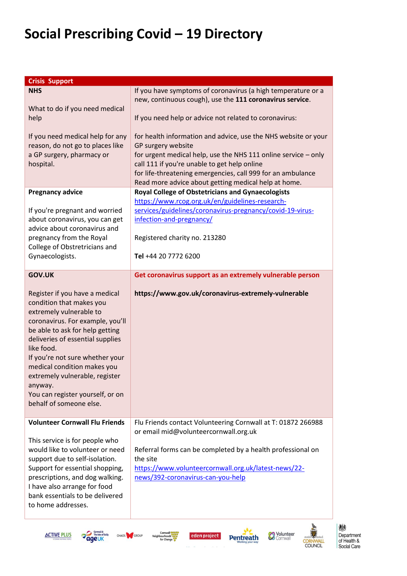| <b>Crisis Support</b>                                                                                                                                                                                                                                                                                                                                                                        |                                                                                                                                                                                                                                                                                                                                                                                                                                                                                                                                                                                                                                                                                                                               |
|----------------------------------------------------------------------------------------------------------------------------------------------------------------------------------------------------------------------------------------------------------------------------------------------------------------------------------------------------------------------------------------------|-------------------------------------------------------------------------------------------------------------------------------------------------------------------------------------------------------------------------------------------------------------------------------------------------------------------------------------------------------------------------------------------------------------------------------------------------------------------------------------------------------------------------------------------------------------------------------------------------------------------------------------------------------------------------------------------------------------------------------|
| <b>NHS</b><br>What to do if you need medical<br>help<br>If you need medical help for any<br>reason, do not go to places like<br>a GP surgery, pharmacy or<br>hospital.<br><b>Pregnancy advice</b><br>If you're pregnant and worried<br>about coronavirus, you can get                                                                                                                        | If you have symptoms of coronavirus (a high temperature or a<br>new, continuous cough), use the 111 coronavirus service.<br>If you need help or advice not related to coronavirus:<br>for health information and advice, use the NHS website or your<br>GP surgery website<br>for urgent medical help, use the NHS 111 online service $-$ only<br>call 111 if you're unable to get help online<br>for life-threatening emergencies, call 999 for an ambulance<br>Read more advice about getting medical help at home.<br><b>Royal College of Obstetricians and Gynaecologists</b><br>https://www.rcog.org.uk/en/guidelines-research-<br>services/guidelines/coronavirus-pregnancy/covid-19-virus-<br>infection-and-pregnancy/ |
| advice about coronavirus and<br>pregnancy from the Royal<br>College of Obstretricians and<br>Gynaecologists.                                                                                                                                                                                                                                                                                 | Registered charity no. 213280<br>Tel +44 20 7772 6200                                                                                                                                                                                                                                                                                                                                                                                                                                                                                                                                                                                                                                                                         |
| <b>GOV.UK</b>                                                                                                                                                                                                                                                                                                                                                                                | Get coronavirus support as an extremely vulnerable person                                                                                                                                                                                                                                                                                                                                                                                                                                                                                                                                                                                                                                                                     |
| Register if you have a medical<br>condition that makes you<br>extremely vulnerable to<br>coronavirus. For example, you'll<br>be able to ask for help getting<br>deliveries of essential supplies<br>like food.<br>If you're not sure whether your<br>medical condition makes you<br>extremely vulnerable, register<br>anyway.<br>You can register yourself, or on<br>behalf of someone else. | https://www.gov.uk/coronavirus-extremely-vulnerable                                                                                                                                                                                                                                                                                                                                                                                                                                                                                                                                                                                                                                                                           |
| <b>Volunteer Cornwall Flu Friends</b><br>This service is for people who<br>would like to volunteer or need<br>support due to self-isolation.<br>Support for essential shopping,<br>prescriptions, and dog walking.<br>I have also arrange for food<br>bank essentials to be delivered<br>to home addresses.                                                                                  | Flu Friends contact Volunteering Cornwall at T: 01872 266988<br>or email mid@volunteercornwall.org.uk<br>Referral forms can be completed by a health professional on<br>the site<br>https://www.volunteercornwall.org.uk/latest-news/22-<br>news/392-coronavirus-can-you-help                                                                                                                                                                                                                                                                                                                                                                                                                                                 |









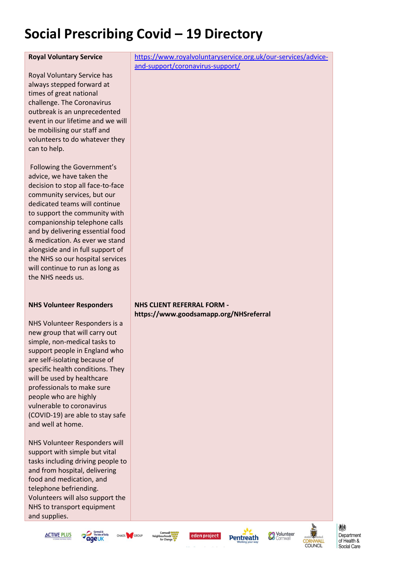#### **Royal Voluntary Service**

Royal Voluntary Service has always stepped forward at times of great national challenge. The Coronavirus outbreak is an unprecedented event in our lifetime and we will be mobilising our staff and volunteers to do whatever they can to help.

Following the Government's advice, we have taken the decision to stop all face-to-face community services, but our dedicated teams will continue to support the community with companionship telephone calls and by delivering essential food & medication. As ever we stand alongside and in full support of the NHS so our hospital services will continue to run as long as the NHS needs us.

#### **NHS Volunteer Responders**

NHS Volunteer Responders is a new group that will carry out simple, non-medical tasks to support people in England who are self-isolating because of specific health conditions. They will be used by healthcare professionals to make sure people who are highly vulnerable to coronavirus (COVID-19) are able to stay safe and well at home.

NHS Volunteer Responders will support with simple but vital tasks including driving people to and from hospital, delivering food and medication, and telephone befriending. Volunteers will also support the NHS to transport equipment and supplies.

[https://www.royalvoluntaryservice.org.uk/our-services/advice](https://www.royalvoluntaryservice.org.uk/our-services/advice-and-support/coronavirus-support/)[and-support/coronavirus-support/](https://www.royalvoluntaryservice.org.uk/our-services/advice-and-support/coronavirus-support/)

#### **NHS CLIENT REFERRAL FORM https://www.goodsamapp.org/NHSreferral**











爀 Department of Health & Social Care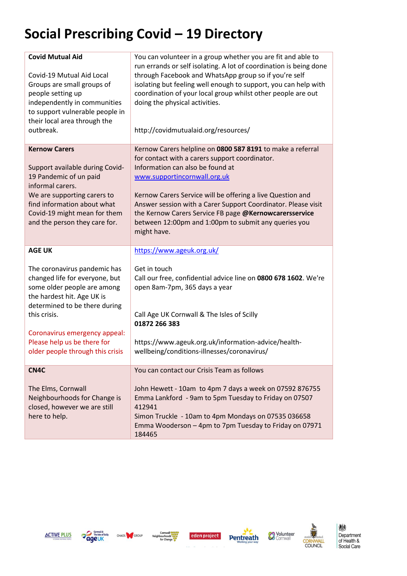| <b>Covid Mutual Aid</b><br>Covid-19 Mutual Aid Local<br>Groups are small groups of<br>people setting up<br>independently in communities<br>to support vulnerable people in<br>their local area through the<br>outbreak. | You can volunteer in a group whether you are fit and able to<br>run errands or self isolating. A lot of coordination is being done<br>through Facebook and WhatsApp group so if you're self<br>isolating but feeling well enough to support, you can help with<br>coordination of your local group whilst other people are out<br>doing the physical activities.<br>http://covidmutualaid.org/resources/ |
|-------------------------------------------------------------------------------------------------------------------------------------------------------------------------------------------------------------------------|----------------------------------------------------------------------------------------------------------------------------------------------------------------------------------------------------------------------------------------------------------------------------------------------------------------------------------------------------------------------------------------------------------|
| <b>Kernow Carers</b><br>Support available during Covid-<br>19 Pandemic of un paid<br>informal carers.<br>We are supporting carers to                                                                                    | Kernow Carers helpline on 0800 587 8191 to make a referral<br>for contact with a carers support coordinator.<br>Information can also be found at<br>www.supportincornwall.org.uk<br>Kernow Carers Service will be offering a live Question and                                                                                                                                                           |
| find information about what<br>Covid-19 might mean for them<br>and the person they care for.                                                                                                                            | Answer session with a Carer Support Coordinator. Please visit<br>the Kernow Carers Service FB page @Kernowcarersservice<br>between 12:00pm and 1:00pm to submit any queries you<br>might have.                                                                                                                                                                                                           |
| <b>AGE UK</b>                                                                                                                                                                                                           | https://www.ageuk.org.uk/                                                                                                                                                                                                                                                                                                                                                                                |
| The coronavirus pandemic has<br>changed life for everyone, but<br>some older people are among<br>the hardest hit. Age UK is<br>determined to be there during                                                            | Get in touch<br>Call our free, confidential advice line on 0800 678 1602. We're<br>open 8am-7pm, 365 days a year                                                                                                                                                                                                                                                                                         |
| this crisis.                                                                                                                                                                                                            | Call Age UK Cornwall & The Isles of Scilly<br>01872 266 383                                                                                                                                                                                                                                                                                                                                              |
| Coronavirus emergency appeal:<br>Please help us be there for<br>older people through this crisis                                                                                                                        | https://www.ageuk.org.uk/information-advice/health-<br>wellbeing/conditions-illnesses/coronavirus/                                                                                                                                                                                                                                                                                                       |
| CN4C                                                                                                                                                                                                                    | You can contact our Crisis Team as follows                                                                                                                                                                                                                                                                                                                                                               |
| The Elms, Cornwall<br>Neighbourhoods for Change is<br>closed, however we are still<br>here to help.                                                                                                                     | John Hewett - 10am to 4pm 7 days a week on 07592 876755<br>Emma Lankford - 9am to 5pm Tuesday to Friday on 07507<br>412941<br>Simon Truckle - 10am to 4pm Mondays on 07535 036658<br>Emma Wooderson - 4pm to 7pm Tuesday to Friday on 07971<br>184465                                                                                                                                                    |











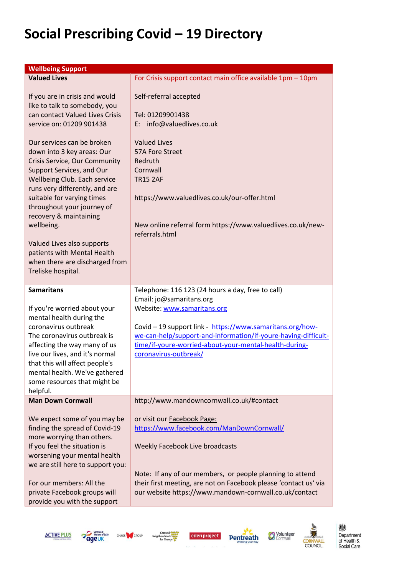| <b>Wellbeing Support</b>                                                                                                                                                                                                                                                                                                                                                                                          |                                                                                                                                                                                                                                                                                                                                |
|-------------------------------------------------------------------------------------------------------------------------------------------------------------------------------------------------------------------------------------------------------------------------------------------------------------------------------------------------------------------------------------------------------------------|--------------------------------------------------------------------------------------------------------------------------------------------------------------------------------------------------------------------------------------------------------------------------------------------------------------------------------|
| <b>Valued Lives</b>                                                                                                                                                                                                                                                                                                                                                                                               | For Crisis support contact main office available 1pm - 10pm                                                                                                                                                                                                                                                                    |
| If you are in crisis and would<br>like to talk to somebody, you<br>can contact Valued Lives Crisis<br>service on: 01209 901438                                                                                                                                                                                                                                                                                    | Self-referral accepted<br>Tel: 01209901438<br>E: info@valuedlives.co.uk                                                                                                                                                                                                                                                        |
| Our services can be broken<br>down into 3 key areas: Our<br>Crisis Service, Our Community<br>Support Services, and Our<br>Wellbeing Club. Each service<br>runs very differently, and are<br>suitable for varying times<br>throughout your journey of<br>recovery & maintaining<br>wellbeing.<br>Valued Lives also supports<br>patients with Mental Health<br>when there are discharged from<br>Treliske hospital. | <b>Valued Lives</b><br>57A Fore Street<br>Redruth<br>Cornwall<br><b>TR15 2AF</b><br>https://www.valuedlives.co.uk/our-offer.html<br>New online referral form https://www.valuedlives.co.uk/new-<br>referrals.html                                                                                                              |
| <b>Samaritans</b><br>If you're worried about your<br>mental health during the<br>coronavirus outbreak<br>The coronavirus outbreak is<br>affecting the way many of us<br>live our lives, and it's normal<br>that this will affect people's<br>mental health. We've gathered<br>some resources that might be<br>helpful.                                                                                            | Telephone: 116 123 (24 hours a day, free to call)<br>Email: jo@samaritans.org<br>Website: www.samaritans.org<br>Covid - 19 support link - https://www.samaritans.org/how-<br>we-can-help/support-and-information/if-youre-having-difficult-<br>time/if-youre-worried-about-your-mental-health-during-<br>coronavirus-outbreak/ |
| <b>Man Down Cornwall</b>                                                                                                                                                                                                                                                                                                                                                                                          | http://www.mandowncornwall.co.uk/#contact                                                                                                                                                                                                                                                                                      |
| We expect some of you may be<br>finding the spread of Covid-19<br>more worrying than others.<br>If you feel the situation is<br>worsening your mental health<br>we are still here to support you:<br>For our members: All the<br>private Facebook groups will<br>provide you with the support                                                                                                                     | or visit our Facebook Page:<br>https://www.facebook.com/ManDownCornwall/<br>Weekly Facebook Live broadcasts<br>Note: If any of our members, or people planning to attend<br>their first meeting, are not on Facebook please 'contact us' via<br>our website https://www.mandown-cornwall.co.uk/contact                         |











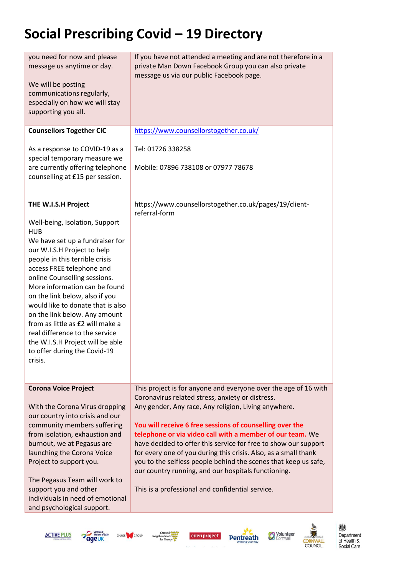| you need for now and please<br>message us anytime or day.<br>We will be posting<br>communications regularly,<br>especially on how we will stay<br>supporting you all.                                                                                                                                                                                                                                                                                                                                                              | If you have not attended a meeting and are not therefore in a<br>private Man Down Facebook Group you can also private<br>message us via our public Facebook page.                                                                                                                                                                                                                                                                                                                                                                                                                                                        |
|------------------------------------------------------------------------------------------------------------------------------------------------------------------------------------------------------------------------------------------------------------------------------------------------------------------------------------------------------------------------------------------------------------------------------------------------------------------------------------------------------------------------------------|--------------------------------------------------------------------------------------------------------------------------------------------------------------------------------------------------------------------------------------------------------------------------------------------------------------------------------------------------------------------------------------------------------------------------------------------------------------------------------------------------------------------------------------------------------------------------------------------------------------------------|
| <b>Counsellors Together CIC</b>                                                                                                                                                                                                                                                                                                                                                                                                                                                                                                    | https://www.counsellorstogether.co.uk/                                                                                                                                                                                                                                                                                                                                                                                                                                                                                                                                                                                   |
| As a response to COVID-19 as a<br>special temporary measure we<br>are currently offering telephone<br>counselling at £15 per session.                                                                                                                                                                                                                                                                                                                                                                                              | Tel: 01726 338258<br>Mobile: 07896 738108 or 07977 78678                                                                                                                                                                                                                                                                                                                                                                                                                                                                                                                                                                 |
| THE W.I.S.H Project<br>Well-being, Isolation, Support<br><b>HUB</b><br>We have set up a fundraiser for<br>our W.I.S.H Project to help<br>people in this terrible crisis<br>access FREE telephone and<br>online Counselling sessions.<br>More information can be found<br>on the link below, also if you<br>would like to donate that is also<br>on the link below. Any amount<br>from as little as £2 will make a<br>real difference to the service<br>the W.I.S.H Project will be able<br>to offer during the Covid-19<br>Crisis. | https://www.counsellorstogether.co.uk/pages/19/client-<br>referral-form                                                                                                                                                                                                                                                                                                                                                                                                                                                                                                                                                  |
| <b>Corona Voice Project</b><br>With the Corona Virus dropping<br>our country into crisis and our<br>community members suffering<br>from isolation, exhaustion and<br>burnout, we at Pegasus are<br>launching the Corona Voice<br>Project to support you.<br>The Pegasus Team will work to<br>support you and other<br>individuals in need of emotional<br>and psychological support.                                                                                                                                               | This project is for anyone and everyone over the age of 16 with<br>Coronavirus related stress, anxiety or distress.<br>Any gender, Any race, Any religion, Living anywhere.<br>You will receive 6 free sessions of counselling over the<br>telephone or via video call with a member of our team. We<br>have decided to offer this service for free to show our support<br>for every one of you during this crisis. Also, as a small thank<br>you to the selfless people behind the scenes that keep us safe,<br>our country running, and our hospitals functioning.<br>This is a professional and confidential service. |

**ACTIVE PLUS** 







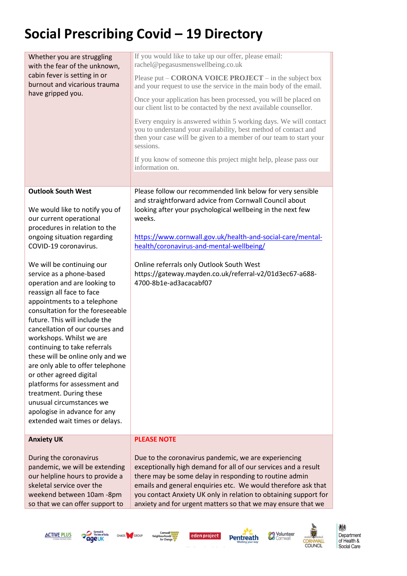| Whether you are struggling<br>with the fear of the unknown,                                                                                                                                                                                                                                                                                                                                                                                                                                                                                                                       | If you would like to take up our offer, please email:<br>rachel@pegasusmenswellbeing.co.uk                                                                                                                             |
|-----------------------------------------------------------------------------------------------------------------------------------------------------------------------------------------------------------------------------------------------------------------------------------------------------------------------------------------------------------------------------------------------------------------------------------------------------------------------------------------------------------------------------------------------------------------------------------|------------------------------------------------------------------------------------------------------------------------------------------------------------------------------------------------------------------------|
| cabin fever is setting in or<br>burnout and vicarious trauma                                                                                                                                                                                                                                                                                                                                                                                                                                                                                                                      | Please put $-$ CORONA VOICE PROJECT $-$ in the subject box<br>and your request to use the service in the main body of the email.                                                                                       |
| have gripped you.                                                                                                                                                                                                                                                                                                                                                                                                                                                                                                                                                                 | Once your application has been processed, you will be placed on<br>our client list to be contacted by the next available counsellor.                                                                                   |
|                                                                                                                                                                                                                                                                                                                                                                                                                                                                                                                                                                                   | Every enquiry is answered within 5 working days. We will contact<br>you to understand your availability, best method of contact and<br>then your case will be given to a member of our team to start your<br>sessions. |
|                                                                                                                                                                                                                                                                                                                                                                                                                                                                                                                                                                                   | If you know of someone this project might help, please pass our<br>information on.                                                                                                                                     |
|                                                                                                                                                                                                                                                                                                                                                                                                                                                                                                                                                                                   |                                                                                                                                                                                                                        |
| <b>Outlook South West</b>                                                                                                                                                                                                                                                                                                                                                                                                                                                                                                                                                         | Please follow our recommended link below for very sensible<br>and straightforward advice from Cornwall Council about                                                                                                   |
| We would like to notify you of<br>our current operational<br>procedures in relation to the                                                                                                                                                                                                                                                                                                                                                                                                                                                                                        | looking after your psychological wellbeing in the next few<br>weeks.                                                                                                                                                   |
| ongoing situation regarding                                                                                                                                                                                                                                                                                                                                                                                                                                                                                                                                                       | https://www.cornwall.gov.uk/health-and-social-care/mental-                                                                                                                                                             |
| COVID-19 coronavirus.                                                                                                                                                                                                                                                                                                                                                                                                                                                                                                                                                             | health/coronavirus-and-mental-wellbeing/                                                                                                                                                                               |
| We will be continuing our<br>service as a phone-based<br>operation and are looking to<br>reassign all face to face<br>appointments to a telephone<br>consultation for the foreseeable<br>future. This will include the<br>cancellation of our courses and<br>workshops. Whilst we are<br>continuing to take referrals<br>these will be online only and we<br>are only able to offer telephone<br>or other agreed digital<br>platforms for assessment and<br>treatment. During these<br>unusual circumstances we<br>apologise in advance for any<br>extended wait times or delays. | Online referrals only Outlook South West<br>https://gateway.mayden.co.uk/referral-v2/01d3ec67-a688-<br>4700-8b1e-ad3acacabf07                                                                                          |
| <b>Anxiety UK</b>                                                                                                                                                                                                                                                                                                                                                                                                                                                                                                                                                                 | <b>PLEASE NOTE</b>                                                                                                                                                                                                     |
| During the coronavirus<br>pandemic, we will be extending<br>our helpline hours to provide a                                                                                                                                                                                                                                                                                                                                                                                                                                                                                       | Due to the coronavirus pandemic, we are experiencing<br>exceptionally high demand for all of our services and a result<br>there may be some delay in responding to routine admin                                       |

our helpline hours to provide a skeletal service over the weekend between 10am -8pm so that we can offer support to

there may be some delay in responding to routine admin emails and general enquiries etc. We would therefore ask that you contact Anxiety UK only in relation to obtaining support for anxiety and for urgent matters so that we may ensure that we











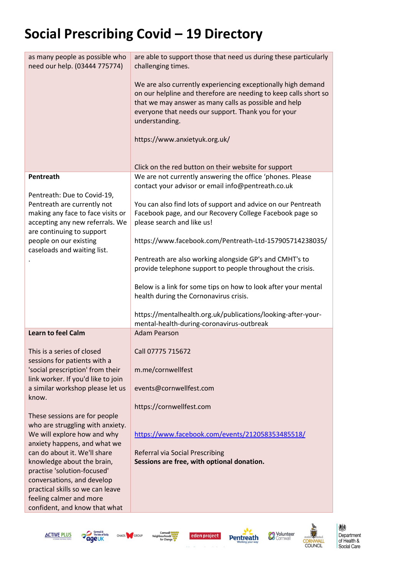| as many people as possible who<br>need our help. (03444 775774)                                                                                                                                                                                                                           | are able to support those that need us during these particularly<br>challenging times.                                                                                                                                                                                                                                                                                                                                                                                                                                                                                                                                                                                                  |
|-------------------------------------------------------------------------------------------------------------------------------------------------------------------------------------------------------------------------------------------------------------------------------------------|-----------------------------------------------------------------------------------------------------------------------------------------------------------------------------------------------------------------------------------------------------------------------------------------------------------------------------------------------------------------------------------------------------------------------------------------------------------------------------------------------------------------------------------------------------------------------------------------------------------------------------------------------------------------------------------------|
|                                                                                                                                                                                                                                                                                           | We are also currently experiencing exceptionally high demand<br>on our helpline and therefore are needing to keep calls short so<br>that we may answer as many calls as possible and help<br>everyone that needs our support. Thank you for your<br>understanding.                                                                                                                                                                                                                                                                                                                                                                                                                      |
|                                                                                                                                                                                                                                                                                           | https://www.anxietyuk.org.uk/                                                                                                                                                                                                                                                                                                                                                                                                                                                                                                                                                                                                                                                           |
|                                                                                                                                                                                                                                                                                           | Click on the red button on their website for support                                                                                                                                                                                                                                                                                                                                                                                                                                                                                                                                                                                                                                    |
| Pentreath<br>Pentreath: Due to Covid-19,<br>Pentreath are currently not<br>making any face to face visits or<br>accepting any new referrals. We<br>are continuing to support<br>people on our existing<br>caseloads and waiting list.                                                     | We are not currently answering the office 'phones. Please<br>contact your advisor or email info@pentreath.co.uk<br>You can also find lots of support and advice on our Pentreath<br>Facebook page, and our Recovery College Facebook page so<br>please search and like us!<br>https://www.facebook.com/Pentreath-Ltd-157905714238035/<br>Pentreath are also working alongside GP's and CMHT's to<br>provide telephone support to people throughout the crisis.<br>Below is a link for some tips on how to look after your mental<br>health during the Cornonavirus crisis.<br>https://mentalhealth.org.uk/publications/looking-after-your-<br>mental-health-during-coronavirus-outbreak |
| Learn to feel Calm                                                                                                                                                                                                                                                                        | <b>Adam Pearson</b>                                                                                                                                                                                                                                                                                                                                                                                                                                                                                                                                                                                                                                                                     |
| This is a series of closed<br>sessions for patients with a<br>'social prescription' from their<br>link worker. If you'd like to join<br>a similar workshop please let us<br>know.<br>These sessions are for people                                                                        | Call 07775 715672<br>m.me/cornwellfest<br>events@cornwellfest.com<br>https://cornwellfest.com                                                                                                                                                                                                                                                                                                                                                                                                                                                                                                                                                                                           |
| who are struggling with anxiety.<br>We will explore how and why<br>anxiety happens, and what we<br>can do about it. We'll share<br>knowledge about the brain,<br>practise 'solution-focused'<br>conversations, and develop<br>practical skills so we can leave<br>feeling calmer and more | https://www.facebook.com/events/212058353485518/<br>Referral via Social Prescribing<br>Sessions are free, with optional donation.                                                                                                                                                                                                                                                                                                                                                                                                                                                                                                                                                       |



confident, and know that what









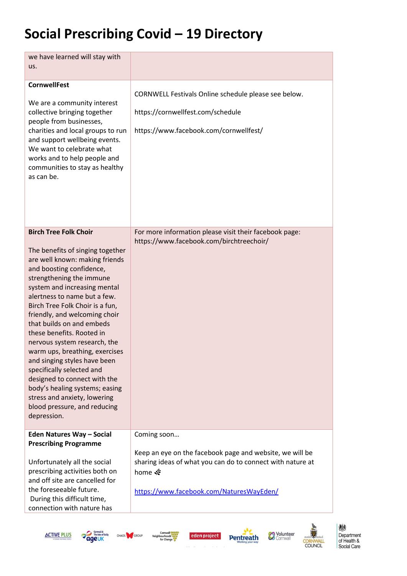| we have learned will stay with<br>us.                                                                                                                                                                                                                                                                                                                                                                                                                                                                                                                                                                                                    |                                                                                                                                                                                             |
|------------------------------------------------------------------------------------------------------------------------------------------------------------------------------------------------------------------------------------------------------------------------------------------------------------------------------------------------------------------------------------------------------------------------------------------------------------------------------------------------------------------------------------------------------------------------------------------------------------------------------------------|---------------------------------------------------------------------------------------------------------------------------------------------------------------------------------------------|
| <b>CornwellFest</b><br>We are a community interest<br>collective bringing together<br>people from businesses,<br>charities and local groups to run<br>and support wellbeing events.<br>We want to celebrate what<br>works and to help people and<br>communities to stay as healthy<br>as can be.                                                                                                                                                                                                                                                                                                                                         | CORNWELL Festivals Online schedule please see below.<br>https://cornwellfest.com/schedule<br>https://www.facebook.com/cornwellfest/                                                         |
| <b>Birch Tree Folk Choir</b><br>The benefits of singing together<br>are well known: making friends<br>and boosting confidence,<br>strengthening the immune<br>system and increasing mental<br>alertness to name but a few.<br>Birch Tree Folk Choir is a fun,<br>friendly, and welcoming choir<br>that builds on and embeds<br>these benefits. Rooted in<br>nervous system research, the<br>warm ups, breathing, exercises<br>and singing styles have been<br>specifically selected and<br>designed to connect with the<br>body's healing systems; easing<br>stress and anxiety, lowering<br>blood pressure, and reducing<br>depression. | For more information please visit their facebook page:<br>https://www.facebook.com/birchtreechoir/                                                                                          |
| Eden Natures Way - Social<br><b>Prescribing Programme</b><br>Unfortunately all the social<br>prescribing activities both on<br>and off site are cancelled for<br>the foreseeable future.<br>During this difficult time,<br>connection with nature has                                                                                                                                                                                                                                                                                                                                                                                    | Coming soon<br>Keep an eye on the facebook page and website, we will be<br>sharing ideas of what you can do to connect with nature at<br>home ※<br>https://www.facebook.com/NaturesWayEden/ |











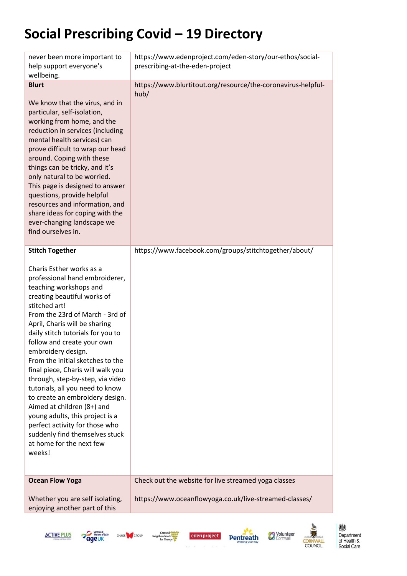| never been more important to<br>help support everyone's<br>wellbeing.                                                                                                                                                                                                                                                                                                                                                                                                                                                                                                                                                                                                                     | https://www.edenproject.com/eden-story/our-ethos/social-<br>prescribing-at-the-eden-project                    |
|-------------------------------------------------------------------------------------------------------------------------------------------------------------------------------------------------------------------------------------------------------------------------------------------------------------------------------------------------------------------------------------------------------------------------------------------------------------------------------------------------------------------------------------------------------------------------------------------------------------------------------------------------------------------------------------------|----------------------------------------------------------------------------------------------------------------|
| <b>Blurt</b><br>We know that the virus, and in<br>particular, self-isolation,<br>working from home, and the<br>reduction in services (including<br>mental health services) can<br>prove difficult to wrap our head<br>around. Coping with these<br>things can be tricky, and it's<br>only natural to be worried.<br>This page is designed to answer<br>questions, provide helpful<br>resources and information, and<br>share ideas for coping with the<br>ever-changing landscape we<br>find ourselves in.                                                                                                                                                                                | https://www.blurtitout.org/resource/the-coronavirus-helpful-<br>hub/                                           |
| <b>Stitch Together</b><br>Charis Esther works as a<br>professional hand embroiderer,<br>teaching workshops and<br>creating beautiful works of<br>stitched art!<br>From the 23rd of March - 3rd of<br>April, Charis will be sharing<br>daily stitch tutorials for you to<br>follow and create your own<br>embroidery design.<br>From the initial sketches to the<br>final piece, Charis will walk you<br>through, step-by-step, via video<br>tutorials, all you need to know<br>to create an embroidery design.<br>Aimed at children (8+) and<br>young adults, this project is a<br>perfect activity for those who<br>suddenly find themselves stuck<br>at home for the next few<br>weeks! | https://www.facebook.com/groups/stitchtogether/about/                                                          |
| <b>Ocean Flow Yoga</b>                                                                                                                                                                                                                                                                                                                                                                                                                                                                                                                                                                                                                                                                    | Check out the website for live streamed yoga classes<br>https://www.oceanflowyoga.co.uk/live-streamed-classes/ |
| Whether you are self isolating,<br>enjoying another part of this                                                                                                                                                                                                                                                                                                                                                                                                                                                                                                                                                                                                                          |                                                                                                                |











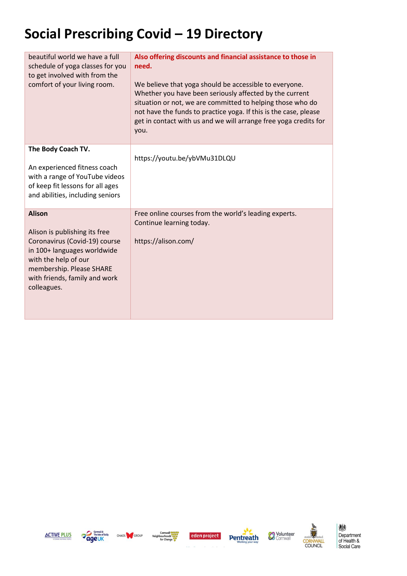| beautiful world we have a full<br>schedule of yoga classes for you<br>to get involved with from the<br>comfort of your living room.                                                                                | Also offering discounts and financial assistance to those in<br>need.<br>We believe that yoga should be accessible to everyone.<br>Whether you have been seriously affected by the current<br>situation or not, we are committed to helping those who do<br>not have the funds to practice yoga. If this is the case, please<br>get in contact with us and we will arrange free yoga credits for<br>you. |
|--------------------------------------------------------------------------------------------------------------------------------------------------------------------------------------------------------------------|----------------------------------------------------------------------------------------------------------------------------------------------------------------------------------------------------------------------------------------------------------------------------------------------------------------------------------------------------------------------------------------------------------|
| The Body Coach TV.                                                                                                                                                                                                 | https://youtu.be/ybVMu31DLQU                                                                                                                                                                                                                                                                                                                                                                             |
| An experienced fitness coach<br>with a range of YouTube videos<br>of keep fit lessons for all ages<br>and abilities, including seniors                                                                             |                                                                                                                                                                                                                                                                                                                                                                                                          |
| <b>Alison</b><br>Alison is publishing its free<br>Coronavirus (Covid-19) course<br>in 100+ languages worldwide<br>with the help of our<br>membership. Please SHARE<br>with friends, family and work<br>colleagues. | Free online courses from the world's leading experts.<br>Continue learning today.<br>https://alison.com/                                                                                                                                                                                                                                                                                                 |











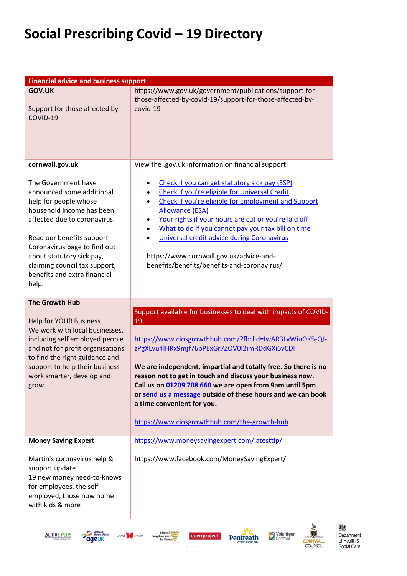| <b>Financial advice and business support</b>                                                                                                                                                                                                                                                               |                                                                                                                                                                                                                                                                                                                                                                                                                                                                                                                         |
|------------------------------------------------------------------------------------------------------------------------------------------------------------------------------------------------------------------------------------------------------------------------------------------------------------|-------------------------------------------------------------------------------------------------------------------------------------------------------------------------------------------------------------------------------------------------------------------------------------------------------------------------------------------------------------------------------------------------------------------------------------------------------------------------------------------------------------------------|
| <b>GOV.UK</b><br>Support for those affected by<br>COVID-19                                                                                                                                                                                                                                                 | https://www.gov.uk/government/publications/support-for-<br>those-affected-by-covid-19/support-for-those-affected-by-<br>covid-19                                                                                                                                                                                                                                                                                                                                                                                        |
| cornwall.gov.uk                                                                                                                                                                                                                                                                                            | View the .gov.uk information on financial support                                                                                                                                                                                                                                                                                                                                                                                                                                                                       |
| The Government have<br>announced some additional<br>help for people whose<br>household income has been<br>affected due to coronavirus.<br>Read our benefits support<br>Coronavirus page to find out<br>about statutory sick pay,<br>claiming council tax support,<br>benefits and extra financial<br>help. | Check if you can get statutory sick pay (SSP)<br>Check if you're eligible for Universal Credit<br>$\bullet$<br>Check if you're eligible for Employment and Support<br>$\bullet$<br><b>Allowance (ESA)</b><br>Your rights if your hours are cut or you're laid off<br>What to do if you cannot pay your tax bill on time<br>Universal credit advice during Coronavirus<br>https://www.cornwall.gov.uk/advice-and-<br>benefits/benefits/benefits-and-coronavirus/                                                         |
|                                                                                                                                                                                                                                                                                                            |                                                                                                                                                                                                                                                                                                                                                                                                                                                                                                                         |
| <b>The Growth Hub</b><br><b>Help for YOUR Business</b><br>We work with local businesses,<br>including self employed people<br>and not for profit organisations<br>to find the right guidance and<br>support to help their business<br>work smarter, develop and<br>grow.                                   | Support available for businesses to deal with impacts of COVID-<br>19<br>https://www.ciosgrowthhub.com/?fbclid=IwAR3LvWiuOK5-QJ-<br>zPgXLvu4lHRx9mjf76pPExGr7ZOV0I2imRDdGXi6vCDI<br>We are independent, impartial and totally free. So there is no<br>reason not to get in touch and discuss your business now.<br>Call us on 01209 708 660 we are open from 9am until 5pm<br>or send us a message outside of these hours and we can book<br>a time convenient for you.<br>https://www.ciosgrowthhub.com/the-growth-hub |
| <b>Money Saving Expert</b>                                                                                                                                                                                                                                                                                 | https://www.moneysavingexpert.com/latesttip/                                                                                                                                                                                                                                                                                                                                                                                                                                                                            |
| Martin's coronavirus help &<br>support update<br>19 new money need-to-knows<br>for employees, the self-<br>employed, those now home<br>with kids & more                                                                                                                                                    | https://www.facebook.com/MoneySavingExpert/                                                                                                                                                                                                                                                                                                                                                                                                                                                                             |











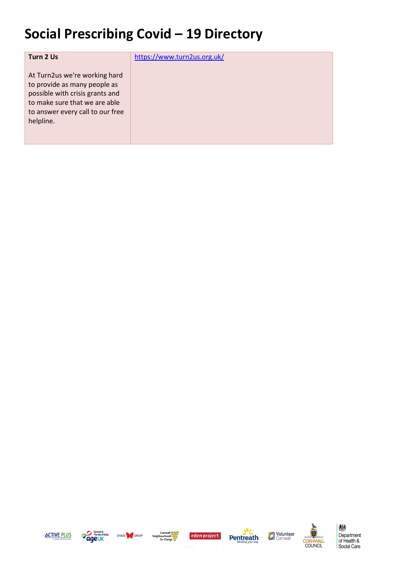| Turn 2 Us                                                                                                                                                                          | https://www.turn2us.org.uk/ |
|------------------------------------------------------------------------------------------------------------------------------------------------------------------------------------|-----------------------------|
| At Turn2us we're working hard<br>to provide as many people as<br>possible with crisis grants and<br>to make sure that we are able<br>to answer every call to our free<br>helpline. |                             |











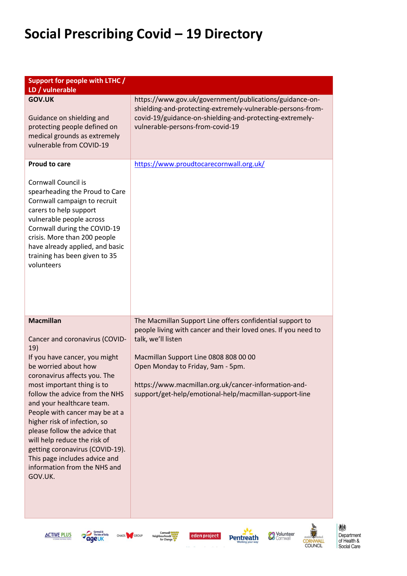| Support for people with LTHC /<br>LD / vulnerable                                                                                                                                                                                                                                                                                                                                                                                                                                                 |                                                                                                                                                                                                                                                                                                                                                   |
|---------------------------------------------------------------------------------------------------------------------------------------------------------------------------------------------------------------------------------------------------------------------------------------------------------------------------------------------------------------------------------------------------------------------------------------------------------------------------------------------------|---------------------------------------------------------------------------------------------------------------------------------------------------------------------------------------------------------------------------------------------------------------------------------------------------------------------------------------------------|
| <b>GOV.UK</b><br>Guidance on shielding and<br>protecting people defined on<br>medical grounds as extremely<br>vulnerable from COVID-19                                                                                                                                                                                                                                                                                                                                                            | https://www.gov.uk/government/publications/guidance-on-<br>shielding-and-protecting-extremely-vulnerable-persons-from-<br>covid-19/guidance-on-shielding-and-protecting-extremely-<br>vulnerable-persons-from-covid-19                                                                                                                            |
| <b>Proud to care</b><br>Cornwall Council is<br>spearheading the Proud to Care<br>Cornwall campaign to recruit<br>carers to help support<br>vulnerable people across<br>Cornwall during the COVID-19<br>crisis. More than 200 people<br>have already applied, and basic<br>training has been given to 35<br>volunteers                                                                                                                                                                             | https://www.proudtocarecornwall.org.uk/                                                                                                                                                                                                                                                                                                           |
| <b>Macmillan</b><br>Cancer and coronavirus (COVID-<br>19)<br>If you have cancer, you might<br>be worried about how<br>coronavirus affects you. The<br>most important thing is to<br>follow the advice from the NHS<br>and your healthcare team.<br>People with cancer may be at a<br>higher risk of infection, so<br>please follow the advice that<br>will help reduce the risk of<br>getting coronavirus (COVID-19).<br>This page includes advice and<br>information from the NHS and<br>GOV.UK. | The Macmillan Support Line offers confidential support to<br>people living with cancer and their loved ones. If you need to<br>talk, we'll listen<br>Macmillan Support Line 0808 808 00 00<br>Open Monday to Friday, 9am - 5pm.<br>https://www.macmillan.org.uk/cancer-information-and-<br>support/get-help/emotional-help/macmillan-support-line |









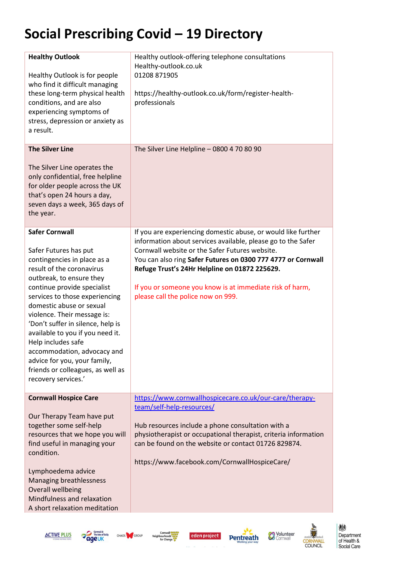| <b>Healthy Outlook</b><br>Healthy Outlook is for people<br>who find it difficult managing<br>these long-term physical health<br>conditions, and are also<br>experiencing symptoms of<br>stress, depression or anxiety as<br>a result.                                                                                                                                                                                                                                                        | Healthy outlook-offering telephone consultations<br>Healthy-outlook.co.uk<br>01208 871905<br>https://healthy-outlook.co.uk/form/register-health-<br>professionals                                                                                                                                                                                                                                  |
|----------------------------------------------------------------------------------------------------------------------------------------------------------------------------------------------------------------------------------------------------------------------------------------------------------------------------------------------------------------------------------------------------------------------------------------------------------------------------------------------|----------------------------------------------------------------------------------------------------------------------------------------------------------------------------------------------------------------------------------------------------------------------------------------------------------------------------------------------------------------------------------------------------|
| <b>The Silver Line</b><br>The Silver Line operates the<br>only confidential, free helpline<br>for older people across the UK<br>that's open 24 hours a day,<br>seven days a week, 365 days of<br>the year.                                                                                                                                                                                                                                                                                   | The Silver Line Helpline - 0800 4 70 80 90                                                                                                                                                                                                                                                                                                                                                         |
| <b>Safer Cornwall</b><br>Safer Futures has put<br>contingencies in place as a<br>result of the coronavirus<br>outbreak, to ensure they<br>continue provide specialist<br>services to those experiencing<br>domestic abuse or sexual<br>violence. Their message is:<br>'Don't suffer in silence, help is<br>available to you if you need it.<br>Help includes safe<br>accommodation, advocacy and<br>advice for you, your family,<br>friends or colleagues, as well as<br>recovery services.' | If you are experiencing domestic abuse, or would like further<br>information about services available, please go to the Safer<br>Cornwall website or the Safer Futures website.<br>You can also ring Safer Futures on 0300 777 4777 or Cornwall<br>Refuge Trust's 24Hr Helpline on 01872 225629.<br>If you or someone you know is at immediate risk of harm,<br>please call the police now on 999. |
| <b>Cornwall Hospice Care</b><br>Our Therapy Team have put<br>together some self-help<br>resources that we hope you will<br>find useful in managing your<br>condition.<br>Lymphoedema advice<br>Managing breathlessness<br>Overall wellbeing<br>Mindfulness and relaxation<br>A short relaxation meditation                                                                                                                                                                                   | https://www.cornwallhospicecare.co.uk/our-care/therapy-<br>team/self-help-resources/<br>Hub resources include a phone consultation with a<br>physiotherapist or occupational therapist, criteria information<br>can be found on the website or contact 01726 829874.<br>https://www.facebook.com/CornwallHospiceCare/                                                                              |

**ACTIVE PLUS** 







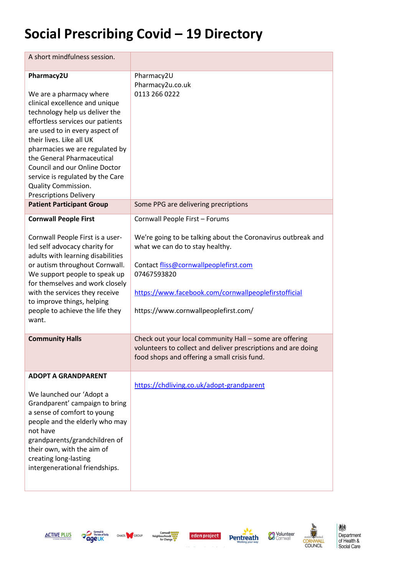| A short mindfulness session.                                                                                                                                                                                                                                                                                                                                                                                           |                                                                                                                                                                                                                                                                                           |
|------------------------------------------------------------------------------------------------------------------------------------------------------------------------------------------------------------------------------------------------------------------------------------------------------------------------------------------------------------------------------------------------------------------------|-------------------------------------------------------------------------------------------------------------------------------------------------------------------------------------------------------------------------------------------------------------------------------------------|
| Pharmacy2U<br>We are a pharmacy where<br>clinical excellence and unique<br>technology help us deliver the<br>effortless services our patients<br>are used to in every aspect of<br>their lives. Like all UK<br>pharmacies we are regulated by<br>the General Pharmaceutical<br><b>Council and our Online Doctor</b><br>service is regulated by the Care<br><b>Quality Commission.</b><br><b>Prescriptions Delivery</b> | Pharmacy2U<br>Pharmacy2u.co.uk<br>0113 266 0222                                                                                                                                                                                                                                           |
| <b>Patient Participant Group</b>                                                                                                                                                                                                                                                                                                                                                                                       | Some PPG are delivering precriptions                                                                                                                                                                                                                                                      |
| <b>Cornwall People First</b><br>Cornwall People First is a user-<br>led self advocacy charity for<br>adults with learning disabilities<br>or autism throughout Cornwall.<br>We support people to speak up<br>for themselves and work closely<br>with the services they receive<br>to improve things, helping<br>people to achieve the life they<br>want.                                                               | Cornwall People First - Forums<br>We're going to be talking about the Coronavirus outbreak and<br>what we can do to stay healthy.<br>Contact fliss@cornwallpeoplefirst.com<br>07467593820<br>https://www.facebook.com/cornwallpeoplefirstofficial<br>https://www.cornwallpeoplefirst.com/ |
| <b>Community Halls</b>                                                                                                                                                                                                                                                                                                                                                                                                 | Check out your local community Hall - some are offering<br>volunteers to collect and deliver prescriptions and are doing<br>food shops and offering a small crisis fund.                                                                                                                  |
| <b>ADOPT A GRANDPARENT</b><br>We launched our 'Adopt a<br>Grandparent' campaign to bring<br>a sense of comfort to young<br>people and the elderly who may<br>not have<br>grandparents/grandchildren of<br>their own, with the aim of<br>creating long-lasting<br>intergenerational friendships.                                                                                                                        | https://chdliving.co.uk/adopt-grandparent                                                                                                                                                                                                                                                 |











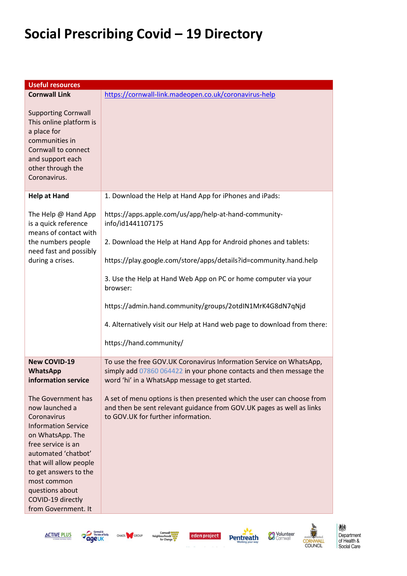| <b>Cornwall Link</b><br>https://cornwall-link.madeopen.co.uk/coronavirus-help<br><b>Supporting Cornwall</b><br>This online platform is<br>a place for<br>communities in<br>Cornwall to connect<br>and support each<br>other through the<br>Coronavirus.<br><b>Help at Hand</b><br>1. Download the Help at Hand App for iPhones and iPads:<br>https://apps.apple.com/us/app/help-at-hand-community-<br>The Help @ Hand App<br>is a quick reference<br>info/id1441107175<br>means of contact with<br>the numbers people<br>2. Download the Help at Hand App for Android phones and tablets:<br>need fast and possibly<br>during a crises.<br>https://play.google.com/store/apps/details?id=community.hand.help<br>3. Use the Help at Hand Web App on PC or home computer via your<br>browser:<br>https://admin.hand.community/groups/2otdIN1MrK4G8dN7qNjd<br>4. Alternatively visit our Help at Hand web page to download from there:<br>https://hand.community/<br><b>New COVID-19</b><br>To use the free GOV.UK Coronavirus Information Service on WhatsApp,<br>simply add 07860 064422 in your phone contacts and then message the<br><b>WhatsApp</b><br>information service<br>word 'hi' in a WhatsApp message to get started.<br>The Government has<br>A set of menu options is then presented which the user can choose from<br>now launched a<br>and then be sent relevant guidance from GOV.UK pages as well as links<br>to GOV.UK for further information.<br>Coronavirus<br><b>Information Service</b><br>on WhatsApp. The<br>free service is an<br>automated 'chatbot'<br>that will allow people | <b>Useful resources</b> |  |  |
|-----------------------------------------------------------------------------------------------------------------------------------------------------------------------------------------------------------------------------------------------------------------------------------------------------------------------------------------------------------------------------------------------------------------------------------------------------------------------------------------------------------------------------------------------------------------------------------------------------------------------------------------------------------------------------------------------------------------------------------------------------------------------------------------------------------------------------------------------------------------------------------------------------------------------------------------------------------------------------------------------------------------------------------------------------------------------------------------------------------------------------------------------------------------------------------------------------------------------------------------------------------------------------------------------------------------------------------------------------------------------------------------------------------------------------------------------------------------------------------------------------------------------------------------------------------------------------------------------------------|-------------------------|--|--|
|                                                                                                                                                                                                                                                                                                                                                                                                                                                                                                                                                                                                                                                                                                                                                                                                                                                                                                                                                                                                                                                                                                                                                                                                                                                                                                                                                                                                                                                                                                                                                                                                           |                         |  |  |
|                                                                                                                                                                                                                                                                                                                                                                                                                                                                                                                                                                                                                                                                                                                                                                                                                                                                                                                                                                                                                                                                                                                                                                                                                                                                                                                                                                                                                                                                                                                                                                                                           |                         |  |  |
|                                                                                                                                                                                                                                                                                                                                                                                                                                                                                                                                                                                                                                                                                                                                                                                                                                                                                                                                                                                                                                                                                                                                                                                                                                                                                                                                                                                                                                                                                                                                                                                                           |                         |  |  |
|                                                                                                                                                                                                                                                                                                                                                                                                                                                                                                                                                                                                                                                                                                                                                                                                                                                                                                                                                                                                                                                                                                                                                                                                                                                                                                                                                                                                                                                                                                                                                                                                           |                         |  |  |
|                                                                                                                                                                                                                                                                                                                                                                                                                                                                                                                                                                                                                                                                                                                                                                                                                                                                                                                                                                                                                                                                                                                                                                                                                                                                                                                                                                                                                                                                                                                                                                                                           |                         |  |  |
|                                                                                                                                                                                                                                                                                                                                                                                                                                                                                                                                                                                                                                                                                                                                                                                                                                                                                                                                                                                                                                                                                                                                                                                                                                                                                                                                                                                                                                                                                                                                                                                                           |                         |  |  |
|                                                                                                                                                                                                                                                                                                                                                                                                                                                                                                                                                                                                                                                                                                                                                                                                                                                                                                                                                                                                                                                                                                                                                                                                                                                                                                                                                                                                                                                                                                                                                                                                           |                         |  |  |
|                                                                                                                                                                                                                                                                                                                                                                                                                                                                                                                                                                                                                                                                                                                                                                                                                                                                                                                                                                                                                                                                                                                                                                                                                                                                                                                                                                                                                                                                                                                                                                                                           |                         |  |  |
|                                                                                                                                                                                                                                                                                                                                                                                                                                                                                                                                                                                                                                                                                                                                                                                                                                                                                                                                                                                                                                                                                                                                                                                                                                                                                                                                                                                                                                                                                                                                                                                                           |                         |  |  |
|                                                                                                                                                                                                                                                                                                                                                                                                                                                                                                                                                                                                                                                                                                                                                                                                                                                                                                                                                                                                                                                                                                                                                                                                                                                                                                                                                                                                                                                                                                                                                                                                           |                         |  |  |
|                                                                                                                                                                                                                                                                                                                                                                                                                                                                                                                                                                                                                                                                                                                                                                                                                                                                                                                                                                                                                                                                                                                                                                                                                                                                                                                                                                                                                                                                                                                                                                                                           |                         |  |  |
|                                                                                                                                                                                                                                                                                                                                                                                                                                                                                                                                                                                                                                                                                                                                                                                                                                                                                                                                                                                                                                                                                                                                                                                                                                                                                                                                                                                                                                                                                                                                                                                                           |                         |  |  |
|                                                                                                                                                                                                                                                                                                                                                                                                                                                                                                                                                                                                                                                                                                                                                                                                                                                                                                                                                                                                                                                                                                                                                                                                                                                                                                                                                                                                                                                                                                                                                                                                           |                         |  |  |
| most common<br>questions about                                                                                                                                                                                                                                                                                                                                                                                                                                                                                                                                                                                                                                                                                                                                                                                                                                                                                                                                                                                                                                                                                                                                                                                                                                                                                                                                                                                                                                                                                                                                                                            | to get answers to the   |  |  |
| COVID-19 directly<br>from Government. It                                                                                                                                                                                                                                                                                                                                                                                                                                                                                                                                                                                                                                                                                                                                                                                                                                                                                                                                                                                                                                                                                                                                                                                                                                                                                                                                                                                                                                                                                                                                                                  |                         |  |  |









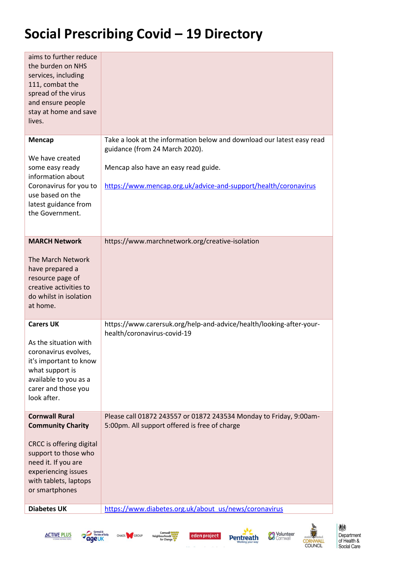| aims to further reduce<br>the burden on NHS<br>services, including<br>111, combat the<br>spread of the virus<br>and ensure people<br>stay at home and save<br>lives. |                                                                                                                     |
|----------------------------------------------------------------------------------------------------------------------------------------------------------------------|---------------------------------------------------------------------------------------------------------------------|
| <b>Mencap</b>                                                                                                                                                        | Take a look at the information below and download our latest easy read<br>guidance (from 24 March 2020).            |
| We have created<br>some easy ready<br>information about                                                                                                              | Mencap also have an easy read guide.                                                                                |
| Coronavirus for you to<br>use based on the                                                                                                                           | https://www.mencap.org.uk/advice-and-support/health/coronavirus                                                     |
| latest guidance from<br>the Government.                                                                                                                              |                                                                                                                     |
| <b>MARCH Network</b>                                                                                                                                                 | https://www.marchnetwork.org/creative-isolation                                                                     |
| The March Network<br>have prepared a<br>resource page of<br>creative activities to<br>do whilst in isolation<br>at home.                                             |                                                                                                                     |
| <b>Carers UK</b>                                                                                                                                                     | https://www.carersuk.org/help-and-advice/health/looking-after-your-<br>health/coronavirus-covid-19                  |
| As the situation with<br>coronavirus evolves,<br>it's important to know<br>what support is<br>available to you as a<br>carer and those you<br>look after.            |                                                                                                                     |
| <b>Cornwall Rural</b><br><b>Community Charity</b>                                                                                                                    | Please call 01872 243557 or 01872 243534 Monday to Friday, 9:00am-<br>5:00pm. All support offered is free of charge |
| CRCC is offering digital<br>support to those who<br>need it. If you are<br>experiencing issues<br>with tablets, laptops<br>or smartphones                            |                                                                                                                     |
| <b>Diabetes UK</b>                                                                                                                                                   | https://www.diabetes.org.uk/about_us/news/coronavirus                                                               |